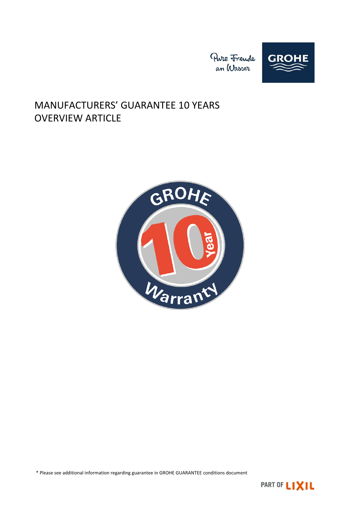

# MANUFACTURERS' GUARANTEE 10 YEARS OVERVIEW ARTICLE



\* Please see additional information regarding guarantee in GROHE GUARANTEE conditions document

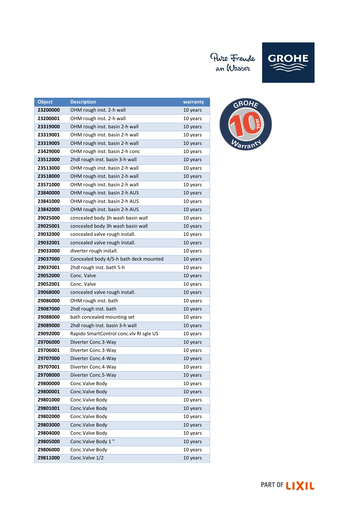# Pure Freude<br>an Wasser



| <b>Object</b> | <b>Description</b>                      | warranty |
|---------------|-----------------------------------------|----------|
| 23200000      | OHM rough inst. 2-h wall                | 10 years |
| 23200001      | OHM rough inst. 2-h wall                | 10 years |
| 23319000      | OHM rough inst. basin 2-h wall          | 10 years |
| 23319001      | OHM rough inst. basin 2-h wall          | 10 years |
| 23319005      | OHM rough inst. basin 2-h wall          | 10 years |
| 23429000      | OHM rough inst. basin 2-h conc          | 10 years |
| 23512000      | 2hdl rough inst. basin 3-h wall         | 10 years |
| 23513000      | OHM rough inst. basin 2-h wall          | 10 years |
| 23518000      | OHM rough inst. basin 2-h wall          | 10 years |
| 23571000      | OHM rough inst. basin 2-h wall          | 10 years |
| 23840000      | OHM rough inst. basin 2-h AUS           | 10 years |
| 23841000      | OHM rough inst. basin 2-h AUS           | 10 years |
| 23842000      | OHM rough inst. basin 2-h AUS           | 10 years |
| 29025000      | concealed body 3h wash basin wall       | 10 years |
| 29025001      | concealed body 3h wash basin wall       | 10 years |
| 29032000      | concealed valve rough install.          | 10 years |
| 29032001      | concealed valve rough install.          | 10 years |
| 29033000      | diverter rough install.                 | 10 years |
| 29037000      | Concealed body 4/5-h bath deck mounted  | 10 years |
| 29037001      | 2hdl rough inst. bath 5-h               | 10 years |
| 29052000      | Conc. Valve                             | 10 years |
| 29052001      | Conc. Valve                             | 10 years |
| 29068000      | concealed valve rough install.          | 10 years |
| 29086000      | OHM rough inst. bath                    | 10 years |
| 29087000      | 2hdl rough inst. bath                   | 10 years |
| 29088000      | bath concealed mounting set             | 10 years |
| 29089000      | 2hdl rough inst. basin 3-h wall         | 10 years |
| 29092000      | Rapido SmartControl conc.vlv RI sgle US | 10 years |
| 29706000      | Diverter Conc.3-Way                     | 10 years |
| 29706001      | Diverter Conc.3-Way                     | 10 years |
| 29707000      | Diverter Conc.4-Way                     | 10 years |
| 29707001      | Diverter Conc.4-Way                     | 10 years |
| 29708000      | Diverter Conc.5-Way                     | 10 years |
| 29800000      | Conc.Valve Body                         | 10 years |
| 29800001      | Conc. Valve Body                        | 10 years |
| 29801000      | Conc.Valve Body                         | 10 years |
| 29801001      | Conc. Valve Body                        | 10 years |
| 29802000      | Conc. Valve Body                        | 10 years |
| 29803000      | Conc. Valve Body                        | 10 years |
| 29804000      | Conc. Valve Body                        | 10 years |
| 29805000      | Conc.Valve Body 1"                      | 10 years |
| 29806000      | Conc. Valve Body                        | 10 years |
| 29811000      | Conc.Valve 1/2                          | 10 years |

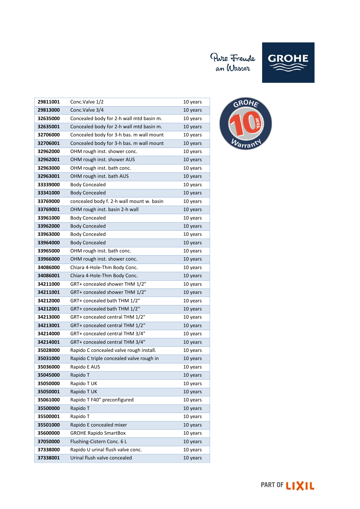

| 29811001 | Conc.Valve 1/2                            | 10 years |
|----------|-------------------------------------------|----------|
| 29813000 | Conc.Valve 3/4                            | 10 years |
| 32635000 | Concealed body for 2-h wall mtd basin m.  | 10 years |
| 32635001 | Concealed body for 2-h wall mtd basin m.  | 10 years |
| 32706000 | Concealed body for 3-h bas. m wall mount  | 10 years |
| 32706001 | Concealed body for 3-h bas. m wall mount  | 10 years |
| 32962000 | OHM rough inst. shower conc.              | 10 years |
| 32962001 | OHM rough inst. shower AUS                | 10 years |
| 32963000 | OHM rough inst. bath conc.                | 10 years |
| 32963001 | OHM rough inst. bath AUS                  | 10 years |
| 33339000 | <b>Body Concealed</b>                     | 10 years |
| 33341000 | <b>Body Concealed</b>                     | 10 years |
| 33769000 | concealed body f. 2-h wall mount w. basin | 10 years |
| 33769001 | OHM rough inst. basin 2-h wall            | 10 years |
| 33961000 | <b>Body Concealed</b>                     | 10 years |
| 33962000 | <b>Body Concealed</b>                     | 10 years |
| 33963000 | <b>Body Concealed</b>                     | 10 years |
| 33964000 | <b>Body Concealed</b>                     | 10 years |
| 33965000 | OHM rough inst. bath conc.                | 10 years |
| 33966000 | OHM rough inst. shower conc.              | 10 years |
| 34086000 | Chiara 4-Hole-Thm Body Conc.              | 10 years |
| 34086001 | Chiara 4-Hole-Thm Body Conc.              | 10 years |
| 34211000 | GRT+ concealed shower THM 1/2"            | 10 years |
| 34211001 | GRT+ concealed shower THM 1/2"            | 10 years |
| 34212000 | GRT+ concealed bath THM 1/2"              | 10 years |
| 34212001 | GRT+ concealed bath THM 1/2"              | 10 years |
| 34213000 | GRT+ concealed central THM 1/2"           | 10 years |
| 34213001 | GRT+ concealed central THM 1/2"           | 10 years |
| 34214000 | GRT+ concealed central THM 3/4"           | 10 years |
| 34214001 | GRT+ concealed central THM 3/4"           | 10 years |
| 35028000 | Rapido C concealed valve rough install.   | 10 years |
| 35031000 | Rapido C triple concealed valve rough in  | 10 years |
| 35036000 | Rapido E AUS                              | 10 years |
| 35045000 | Rapido T                                  | 10 years |
| 35050000 | Rapido T UK                               | 10 years |
| 35050001 | Rapido T UK                               | 10 years |
| 35061000 | Rapido T F40" preconfigured               | 10 years |
| 35500000 | Rapido T                                  | 10 years |
| 35500001 | Rapido T                                  | 10 years |
| 35501000 | Rapido E concealed mixer                  | 10 years |
| 35600000 | <b>GROHE Rapido SmartBox</b>              | 10 years |
| 37050000 | Flushing-Cistern Conc. 6 L                | 10 years |
| 37338000 | Rapido U urinal flush valve conc.         | 10 years |
| 37338001 | Urinal flush valve concealed              | 10 years |

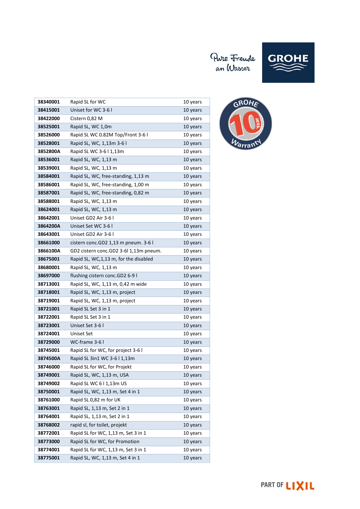# Pure Freude<br>an Wasser



| 38340001 | Rapid SL for WC                         | 10 years |
|----------|-----------------------------------------|----------|
| 38415001 | Uniset for WC 3-6 l                     | 10 years |
| 38422000 | Cistern 0,82 M                          | 10 years |
| 38525001 | Rapid SL, WC 1,0m                       | 10 years |
| 38526000 | Rapid SL WC 0.82M Top/Front 3-6 I       | 10 years |
| 38528001 | Rapid SL, WC, 1,13m 3-6 l               | 10 years |
| 3852800A | Rapid SL WC 3-6   1,13m                 | 10 years |
| 38536001 | Rapid SL, WC, 1,13 m                    | 10 years |
| 38539001 | Rapid SL, WC, 1,13 m                    | 10 years |
| 38584001 | Rapid SL, WC, free-standing, 1,13 m     | 10 years |
| 38586001 | Rapid SL, WC, free-standing, 1,00 m     | 10 years |
| 38587001 | Rapid SL, WC, free-standing, 0,82 m     | 10 years |
| 38588001 | Rapid SL, WC, 1,13 m                    | 10 years |
| 38624001 | Rapid SL, WC, 1,13 m                    | 10 years |
| 38642001 | Uniset GD2 Air 3-6 l                    | 10 years |
| 3864200A | Uniset Set WC 3-6 I                     | 10 years |
| 38643001 | Uniset GD2 Air 3-6 l                    | 10 years |
| 38661000 | cistern conc.GD2 1,13 m pneum. 3-6 l    | 10 years |
| 3866100A | GD2 cistern conc.GD2 3-6l 1,13m pneum.  | 10 years |
| 38675001 | Rapid SL, WC, 1, 13 m, for the disabled | 10 years |
| 38680001 | Rapid SL, WC, 1,13 m                    | 10 years |
| 38697000 | flushing cistern conc.GD2 6-9 l         | 10 years |
| 38713001 | Rapid SL, WC, 1,13 m, 0,42 m wide       | 10 years |
| 38718001 | Rapid SL, WC, 1,13 m, project           | 10 years |
| 38719001 | Rapid SL, WC, 1,13 m, project           | 10 years |
| 38721001 | Rapid SL Set 3 in 1                     | 10 years |
| 38722001 | Rapid SL Set 3 in 1                     | 10 years |
| 38723001 | Uniset Set 3-6 l                        | 10 years |
| 38724001 | Uniset Set                              | 10 years |
| 38729000 | WC-frame 3-6 l                          | 10 years |
| 38745001 | Rapid SL for WC, for project 3-6 I      | 10 years |
| 3874500A | Rapid SL 3in1 WC 3-6   1,13m            | 10 years |
| 38746000 | Rapid SL for WC, for Projekt            | 10 years |
| 38749001 | Rapid SL, WC, 1,13 m, USA               | 10 years |
| 38749002 | Rapid SL WC 6   1,13m US                | 10 years |
| 38750001 | Rapid SL, WC, 1,13 m, Set 4 in 1        | 10 years |
| 38761000 | Rapid SL 0,82 m for UK                  | 10 years |
| 38763001 | Rapid SL, 1,13 m, Set 2 in 1            | 10 years |
| 38764001 | Rapid SL, 1,13 m, Set 2 in 1            | 10 years |
| 38768002 | rapid sl, for toilet, projekt           | 10 years |
| 38772001 | Rapid SL for WC, 1,13 m, Set 3 in 1     | 10 years |
| 38773000 | Rapid SL for WC, for Promotion          | 10 years |
| 38774001 | Rapid SL für WC, 1,13 m, Set 3 in 1     | 10 years |
| 38775001 | Rapid SL, WC, 1,13 m, Set 4 in 1        | 10 years |

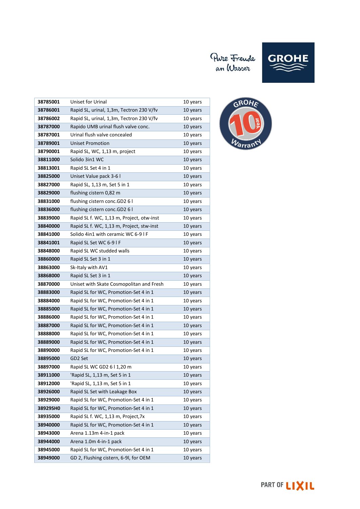

| 38785001 | <b>Uniset for Urinal</b>                  | 10 years |
|----------|-------------------------------------------|----------|
| 38786001 | Rapid SL, urinal, 1,3m, Tectron 230 V/fv  | 10 years |
| 38786002 | Rapid SL, urinal, 1,3m, Tectron 230 V/fv  | 10 years |
| 38787000 | Rapido UMB urinal flush valve conc.       | 10 years |
| 38787001 | Urinal flush valve concealed              | 10 years |
| 38789001 | <b>Uniset Promotion</b>                   | 10 years |
| 38790001 | Rapid SL, WC, 1,13 m, project             | 10 years |
| 38811000 | Solido 3in1 WC                            | 10 years |
| 38813001 | Rapid SL Set 4 in 1                       | 10 years |
| 38825000 | Uniset Value pack 3-6 l                   | 10 years |
| 38827000 | Rapid SL, 1,13 m, Set 5 in 1              | 10 years |
| 38829000 | flushing cistern 0,82 m                   | 10 years |
| 38831000 | flushing cistern conc.GD2 6 l             | 10 years |
| 38836000 | flushing cistern conc.GD2 6 l             | 10 years |
| 38839000 | Rapid SL f. WC, 1,13 m, Project, otw-inst | 10 years |
| 38840000 | Rapid SL f. WC, 1,13 m, Project, stw-inst | 10 years |
| 38841000 | Solido 4in1 with ceramic WC 6-9 I F       | 10 years |
| 38841001 | Rapid SL Set WC 6-9 I F                   | 10 years |
| 38848000 | Rapid SL WC studded walls                 | 10 years |
| 38860000 | Rapid SL Set 3 in 1                       | 10 years |
| 38863000 | Sk-Italy with AV1                         | 10 years |
| 38868000 | Rapid SL Set 3 in 1                       | 10 years |
| 38870000 | Uniset with Skate Cosmopolitan and Fresh  | 10 years |
| 38883000 | Rapid SL for WC, Promotion-Set 4 in 1     | 10 years |
| 38884000 | Rapid SL for WC, Promotion-Set 4 in 1     | 10 years |
| 38885000 | Rapid SL for WC, Promotion-Set 4 in 1     | 10 years |
| 38886000 | Rapid SL for WC, Promotion-Set 4 in 1     | 10 years |
| 38887000 | Rapid SL for WC, Promotion-Set 4 in 1     | 10 years |
| 38888000 | Rapid SL for WC, Promotion-Set 4 in 1     | 10 years |
| 38889000 | Rapid SL for WC, Promotion-Set 4 in 1     | 10 years |
| 38890000 | Rapid SL for WC, Promotion-Set 4 in 1     | 10 years |
| 38895000 | GD2 Set                                   | 10 years |
| 38897000 | Rapid SL WC GD2 6 l 1,20 m                | 10 years |
| 38911000 | 'Rapid SL, 1,13 m, Set 5 in 1             | 10 years |
| 38912000 | 'Rapid SL, 1,13 m, Set 5 in 1             | 10 years |
| 38926000 | Rapid SL Set with Leakage Box             | 10 years |
| 38929000 | Rapid SL for WC, Promotion-Set 4 in 1     | 10 years |
| 38929SH0 | Rapid SL for WC, Promotion-Set 4 in 1     | 10 years |
| 38935000 | Rapid SL f. WC, 1,13 m, Project, 7x       | 10 years |
| 38940000 | Rapid SL for WC, Promotion-Set 4 in 1     | 10 years |
| 38943000 | Arena 1.13m 4-in-1 pack                   | 10 years |
| 38944000 | Arena 1.0m 4-in-1 pack                    | 10 years |
| 38945000 | Rapid SL for WC, Promotion-Set 4 in 1     | 10 years |
| 38949000 | GD 2, Flushing cistern, 6-9I, for OEM     | 10 years |



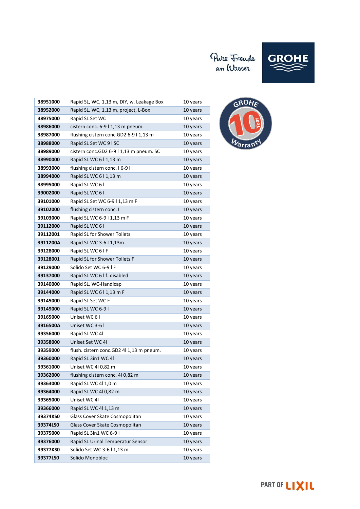

| 38951000 | Rapid SL, WC, 1,13 m, DIY, w. Leakage Box | 10 years |
|----------|-------------------------------------------|----------|
| 38952000 | Rapid SL, WC, 1,13 m, project, L-Box      | 10 years |
| 38975000 | Rapid SL Set WC                           | 10 years |
| 38986000 | cistern conc. 6-9   1,13 m pneum.         | 10 years |
| 38987000 | flushing cistern conc.GD2 6-9 l 1,13 m    | 10 years |
| 38988000 | Rapid SL Set WC 9   SC                    | 10 years |
| 38989000 | cistern conc.GD2 6-9 l 1,13 m pneum. SC   | 10 years |
| 38990000 | Rapid SL WC 6   1,13 m                    | 10 years |
| 38993000 | flushing cistern conc. 16-91              | 10 years |
| 38994000 | Rapid SL WC 6   1,13 m                    | 10 years |
| 38995000 | Rapid SL WC 6 I                           | 10 years |
| 39002000 | Rapid SL WC 61                            | 10 years |
| 39101000 | Rapid SL Set WC 6-9 I 1,13 m F            | 10 years |
| 39102000 | flushing cistern conc. I                  | 10 years |
| 39103000 | Rapid SL WC 6-9   1,13 m F                | 10 years |
| 39112000 | Rapid SL WC 61                            | 10 years |
| 39112001 | Rapid SL for Shower Toilets               | 10 years |
| 3911200A | Rapid SL WC 3-6   1,13m                   | 10 years |
| 39128000 | Rapid SL WC 6 I F                         | 10 years |
| 39128001 | Rapid SL for Shower Toilets F             | 10 years |
| 39129000 | Solido Set WC 6-9 I F                     | 10 years |
| 39137000 | Rapid SL WC 6 I f. disabled               | 10 years |
| 39140000 | Rapid SL, WC-Handicap                     | 10 years |
| 39144000 | Rapid SL WC 6   1,13 m F                  | 10 years |
| 39145000 | Rapid SL Set WC F                         | 10 years |
| 39149000 | Rapid SL WC 6-9 I                         | 10 years |
| 39165000 | Uniset WC 61                              | 10 years |
| 3916500A | Uniset WC 3-6 I                           | 10 years |
| 39356000 | Rapid SL WC 4I                            | 10 years |
| 39358000 | Uniset Set WC 41                          | 10 years |
| 39359000 | flush. cistern conc.GD2 4l 1,13 m pneum.  | 10 years |
| 39360000 | Rapid SL 3in1 WC 4l                       | 10 years |
| 39361000 | Uniset WC 4l 0,82 m                       | 10 years |
| 39362000 | flushing cistern conc. 4l 0,82 m          | 10 years |
| 39363000 | Rapid SL WC 4l 1,0 m                      | 10 years |
| 39364000 | Rapid SL WC 4l 0,82 m                     | 10 years |
| 39365000 | Uniset WC 4l                              | 10 years |
| 39366000 | Rapid SL WC 4l 1,13 m                     | 10 years |
| 39374KS0 | Glass Cover Skate Cosmopolitan            | 10 years |
| 39374LSO | Glass Cover Skate Cosmopolitan            | 10 years |
| 39375000 | Rapid SL 3in1 WC 6-9 I                    | 10 years |
| 39376000 | Rapid SL Urinal Temperatur Sensor         | 10 years |
| 39377KS0 | Solido Set WC 3-6 I 1,13 m                | 10 years |
| 39377LS0 | Solido Monobloc                           | 10 years |